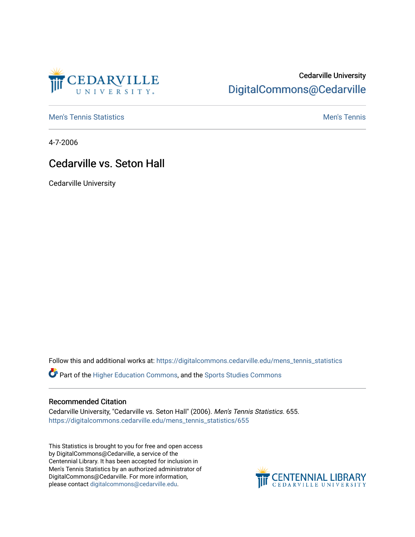

## Cedarville University [DigitalCommons@Cedarville](https://digitalcommons.cedarville.edu/)

**[Men's Tennis Statistics](https://digitalcommons.cedarville.edu/mens_tennis_statistics) Mental According to the Control of Control According Mental Men's Tennis** 

4-7-2006

## Cedarville vs. Seton Hall

Cedarville University

Follow this and additional works at: [https://digitalcommons.cedarville.edu/mens\\_tennis\\_statistics](https://digitalcommons.cedarville.edu/mens_tennis_statistics?utm_source=digitalcommons.cedarville.edu%2Fmens_tennis_statistics%2F655&utm_medium=PDF&utm_campaign=PDFCoverPages)

Part of the [Higher Education Commons,](http://network.bepress.com/hgg/discipline/1245?utm_source=digitalcommons.cedarville.edu%2Fmens_tennis_statistics%2F655&utm_medium=PDF&utm_campaign=PDFCoverPages) and the [Sports Studies Commons](http://network.bepress.com/hgg/discipline/1198?utm_source=digitalcommons.cedarville.edu%2Fmens_tennis_statistics%2F655&utm_medium=PDF&utm_campaign=PDFCoverPages) 

## Recommended Citation

Cedarville University, "Cedarville vs. Seton Hall" (2006). Men's Tennis Statistics. 655. [https://digitalcommons.cedarville.edu/mens\\_tennis\\_statistics/655](https://digitalcommons.cedarville.edu/mens_tennis_statistics/655?utm_source=digitalcommons.cedarville.edu%2Fmens_tennis_statistics%2F655&utm_medium=PDF&utm_campaign=PDFCoverPages) 

This Statistics is brought to you for free and open access by DigitalCommons@Cedarville, a service of the Centennial Library. It has been accepted for inclusion in Men's Tennis Statistics by an authorized administrator of DigitalCommons@Cedarville. For more information, please contact [digitalcommons@cedarville.edu](mailto:digitalcommons@cedarville.edu).